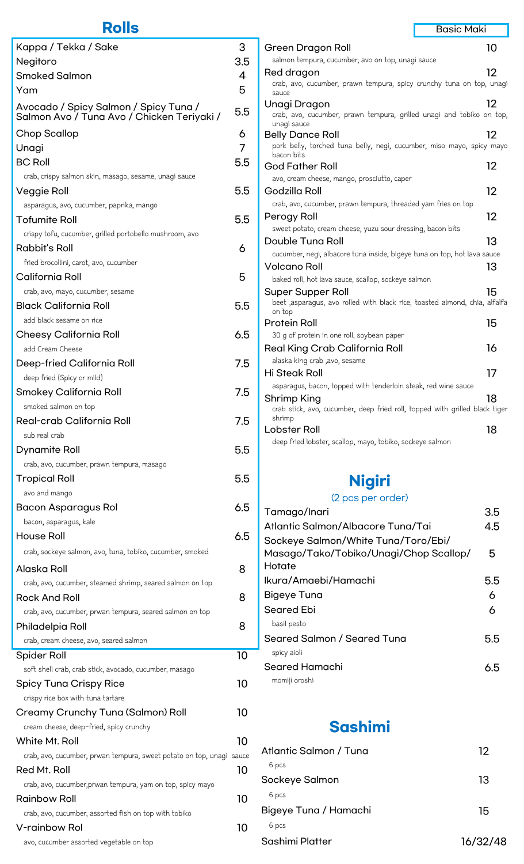## **Rolls**

| Kappa / Tekka / Sake                                                                | 3   |
|-------------------------------------------------------------------------------------|-----|
| Negitoro                                                                            | 3.5 |
| <b>Smoked Salmon</b>                                                                | 4   |
| Yam                                                                                 | 5   |
| Avocado / Spicy Salmon / Spicy Tuna /<br>Salmon Avo / Tuna Avo / Chicken Teriyaki / | 5.5 |
| Chop Scallop                                                                        | 6   |
| Unagi                                                                               | 7   |
| <b>BC Roll</b>                                                                      | 5.5 |
| crab, crispy salmon skin, masago, sesame, unagi sauce                               |     |
| Veggie Roll                                                                         | 5.5 |
| asparagus, avo, cucumber, paprika, mango                                            |     |
| <b>Tofumite Roll</b>                                                                | 5.5 |
| crispy tofu, cucumber, grilled portobello mushroom, avo                             |     |
| Rabbit's Roll                                                                       | 6   |
| fried brocollini, carot, avo, cucumber                                              |     |
| California Roll                                                                     | 5   |
| crab, avo, mayo, cucumber, sesame                                                   |     |
| <b>Black California Roll</b>                                                        | 5.5 |
| add black sesame on rice                                                            |     |
| Cheesy California Roll                                                              | 6.5 |
| add Cream Cheese                                                                    |     |
| Deep-fried California Roll                                                          | 7.5 |
| deep fried (Spicy or mild)                                                          |     |
| Smokey California Roll                                                              | 7.5 |
| smoked salmon on top                                                                |     |
| Real-crab California Roll                                                           | 7.5 |
| sub real crab                                                                       |     |
| Dynamite Roll                                                                       | 5.5 |
| crab, avo, cucumber, prawn tempura, masago                                          |     |
| <b>Tropical Roll</b>                                                                | 5.5 |
| avo and mango                                                                       |     |
| Bacon Asparagus Rol                                                                 | 6.5 |
| bacon, asparagus, kale                                                              |     |
| House Roll                                                                          | 6.5 |
|                                                                                     |     |
| crab, sockeye salmon, avo, tuna, tobiko, cucumber, smoked                           |     |
| Alaska Roll                                                                         | 8   |
| crab, avo, cucumber, steamed shrimp, seared salmon on top                           |     |
| Rock And Roll                                                                       | 8   |
| crab, avo, cucumber, prwan tempura, seared salmon on top                            |     |
| Philadelpia Roll                                                                    | 8   |
| crab, cream cheese, avo, seared salmon                                              |     |
| Spider Roll                                                                         | 10  |
| soft shell crab, crab stick, avocado, cucumber, masago                              |     |
| Spicy Tuna Crispy Rice                                                              | 10  |
| crispy rice box with tuna tartare                                                   |     |
| Creamy Crunchy Tuna (Salmon) Roll                                                   | 10  |
| cream cheese, deep-fried, spicy crunchy                                             |     |
| White Mt. Roll                                                                      | 10  |
| crab, avo, cucumber, prwan tempura, sweet potato on top, unagi sauce                |     |
| Red Mt. Roll                                                                        | 10  |
| crab, avo, cucumber, prwan tempura, yam on top, spicy mayo                          |     |
| <b>Rainbow Roll</b>                                                                 | 10  |
| crab, avo, cucumber, assorted fish on top with tobiko                               |     |
| V-rainbow Rol                                                                       | 10  |
| avo, cucumber assorted vegetable on top                                             |     |

| salmon tempura, cucumber, avo on top, unagi sauce                                    |     |
|--------------------------------------------------------------------------------------|-----|
| Red dragon                                                                           | 12  |
| crab, avo, cucumber, prawn tempura, spicy crunchy tuna on top, unagi                 |     |
| sauce                                                                                |     |
| Unagi Dragon<br>crab, avo, cucumber, prawn tempura, grilled unagi and tobiko on top, | 12  |
| unagi sauce                                                                          |     |
| <b>Belly Dance Roll</b>                                                              | 12  |
| pork belly, torched tuna belly, negi, cucumber, miso mayo, spicy mayo                |     |
| bacon bits<br><b>God Father Roll</b>                                                 | 12  |
| avo, cream cheese, mango, prosciutto, caper                                          |     |
| Godzilla Roll                                                                        | 12  |
| crab, avo, cucumber, prawn tempura, threaded yam fries on top                        |     |
| Perogy Roll                                                                          | 12  |
| sweet potato, cream cheese, yuzu sour dressing, bacon bits                           |     |
| Double Tuna Roll                                                                     | 13  |
| cucumber, negi, albacore tuna inside, bigeye tuna on top, hot lava sauce             |     |
| Volcano Roll                                                                         | 13  |
| baked roll, hot lava sauce, scallop, sockeye salmon                                  |     |
| Super Supper Roll                                                                    | 15  |
| beet ,asparagus, avo rolled with black rice, toasted almond, chia, alfalfa           |     |
| on top<br><b>Protein Roll</b>                                                        | 15  |
| 30 g of protein in one roll, soybean paper                                           |     |
| Real King Crab California Roll                                                       | 16  |
| alaska king crab ,avo, sesame                                                        |     |
| Hi Steak Roll                                                                        | 17  |
| asparagus, bacon, topped with tenderloin steak, red wine sauce                       |     |
| Shrimp King                                                                          | 18  |
| crab stick, avo, cucumber, deep fried roll, topped with grilled black tiger          |     |
| shrimp                                                                               |     |
| Lobster Roll                                                                         | 18  |
| deep fried lobster, scallop, mayo, tobiko, sockeye salmon                            |     |
|                                                                                      |     |
|                                                                                      |     |
| <b>Nigiri</b>                                                                        |     |
| (2 pcs per order)                                                                    |     |
| Tamago/Inari                                                                         | 3.5 |
| Atlantic Salmon/Albacore Tuna/Tai                                                    | 4.5 |
| Sockeye Salmon/White Tuna/Toro/Ebi/                                                  |     |
| Masago/Tako/Tobiko/Unagi/Chop Scallop/                                               | 5   |
| Hotate                                                                               |     |
| Ikura/Amaebi/Hamachi                                                                 | 5.5 |
| Bigeye Tuna                                                                          | 6   |
| Seared Ebi                                                                           | 6   |
| basil pesto                                                                          |     |
|                                                                                      |     |
| Seared Salmon / Seared Tuna<br>enicy ainli                                           | 5.5 |
|                                                                                      |     |

Green Dragon Roll **10** 

Basic Maki

| Seared Salmon / Seared Tuna | 5.5 |
|-----------------------------|-----|
| spicy aioli                 |     |
| Seared Hamachi              | 6.5 |
| momiji oroshi               |     |

## **Sashimi**

| Atlantic Salmon / Tuna | 12       |
|------------------------|----------|
| 6 pcs                  |          |
| Sockeye Salmon         | 13       |
| 6 pcs                  |          |
| Bigeye Tuna / Hamachi  | 15       |
| 6 pcs                  |          |
| Sashimi Platter        | 16/32/48 |
|                        |          |